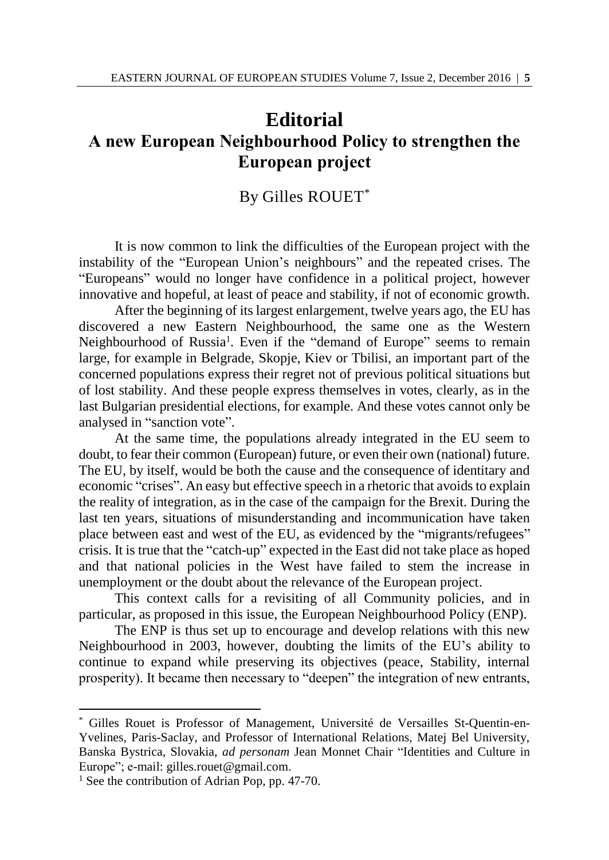## **Editorial A new European Neighbourhood Policy to strengthen the European project**

## By Gilles ROUET\*

It is now common to link the difficulties of the European project with the instability of the "European Union's neighbours" and the repeated crises. The "Europeans" would no longer have confidence in a political project, however innovative and hopeful, at least of peace and stability, if not of economic growth.

After the beginning of its largest enlargement, twelve years ago, the EU has discovered a new Eastern Neighbourhood, the same one as the Western Neighbourhood of Russia<sup>1</sup>. Even if the "demand of Europe" seems to remain large, for example in Belgrade, Skopje, Kiev or Tbilisi, an important part of the concerned populations express their regret not of previous political situations but of lost stability. And these people express themselves in votes, clearly, as in the last Bulgarian presidential elections, for example. And these votes cannot only be analysed in "sanction vote".

At the same time, the populations already integrated in the EU seem to doubt, to fear their common (European) future, or even their own (national) future. The EU, by itself, would be both the cause and the consequence of identitary and economic "crises". An easy but effective speech in a rhetoric that avoids to explain the reality of integration, as in the case of the campaign for the Brexit. During the last ten years, situations of misunderstanding and incommunication have taken place between east and west of the EU, as evidenced by the "migrants/refugees" crisis. It is true that the "catch-up" expected in the East did not take place as hoped and that national policies in the West have failed to stem the increase in unemployment or the doubt about the relevance of the European project.

This context calls for a revisiting of all Community policies, and in particular, as proposed in this issue, the European Neighbourhood Policy (ENP).

The ENP is thus set up to encourage and develop relations with this new Neighbourhood in 2003, however, doubting the limits of the EU's ability to continue to expand while preserving its objectives (peace, Stability, internal prosperity). It became then necessary to "deepen" the integration of new entrants,

l

<sup>\*</sup> Gilles Rouet is Professor of Management, Université de Versailles St-Quentin-en-Yvelines, Paris-Saclay, and Professor of International Relations, Matej Bel University, Banska Bystrica, Slovakia, *ad personam* Jean Monnet Chair "Identities and Culture in Europe"; e-mail: gilles.rouet@gmail.com.

<sup>&</sup>lt;sup>1</sup> See the contribution of Adrian Pop, pp. 47-70.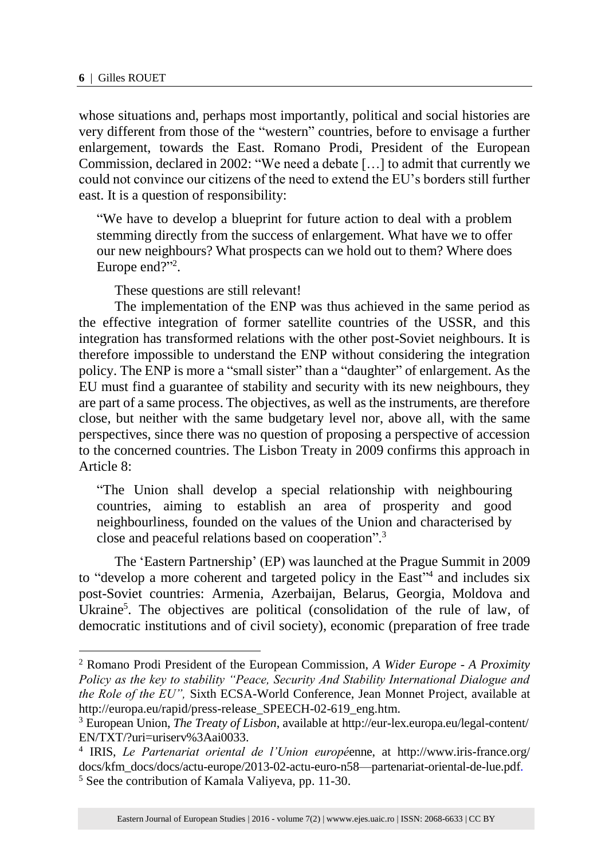$\overline{a}$ 

whose situations and, perhaps most importantly, political and social histories are very different from those of the "western" countries, before to envisage a further enlargement, towards the East. Romano Prodi, President of the European Commission, declared in 2002: "We need a debate […] to admit that currently we could not convince our citizens of the need to extend the EU's borders still further east. It is a question of responsibility:

"We have to develop a blueprint for future action to deal with a problem stemming directly from the success of enlargement. What have we to offer our new neighbours? What prospects can we hold out to them? Where does Europe end?"<sup>2</sup>.

These questions are still relevant!

The implementation of the ENP was thus achieved in the same period as the effective integration of former satellite countries of the USSR, and this integration has transformed relations with the other post-Soviet neighbours. It is therefore impossible to understand the ENP without considering the integration policy. The ENP is more a "small sister" than a "daughter" of enlargement. As the EU must find a guarantee of stability and security with its new neighbours, they are part of a same process. The objectives, as well as the instruments, are therefore close, but neither with the same budgetary level nor, above all, with the same perspectives, since there was no question of proposing a perspective of accession to the concerned countries. The Lisbon Treaty in 2009 confirms this approach in Article 8:

"The Union shall develop a special relationship with neighbouring countries, aiming to establish an area of prosperity and good neighbourliness, founded on the values of the Union and characterised by close and peaceful relations based on cooperation". 3

The 'Eastern Partnership' (EP) was launched at the Prague Summit in 2009 to "develop a more coherent and targeted policy in the East"<sup>4</sup> and includes six post-Soviet countries: Armenia, Azerbaijan, Belarus, Georgia, Moldova and Ukraine<sup>5</sup>. The objectives are political (consolidation of the rule of law, of democratic institutions and of civil society), economic (preparation of free trade

<sup>2</sup> Romano Prodi President of the European Commission, *A Wider Europe - A Proximity Policy as the key to stability "Peace, Security And Stability International Dialogue and the Role of the EU",* Sixth ECSA-World Conference, Jean Monnet Project, available at http://europa.eu/rapid/press-release\_SPEECH-02-619\_eng.htm.

<sup>3</sup> European Union, *The Treaty of Lisbon*, available at http://eur-lex.europa.eu/legal-content/ EN/TXT/?uri=uriserv%3Aai0033.

<sup>4</sup> IRIS, *Le Partenariat oriental de l'Union europé*enne, at http://www.iris-france.org/ docs/kfm\_docs/docs/actu-europe/2013-02-actu-euro-n58—partenariat-oriental-de-lue.pdf. <sup>5</sup> See the contribution of Kamala Valiyeva, pp. 11-30.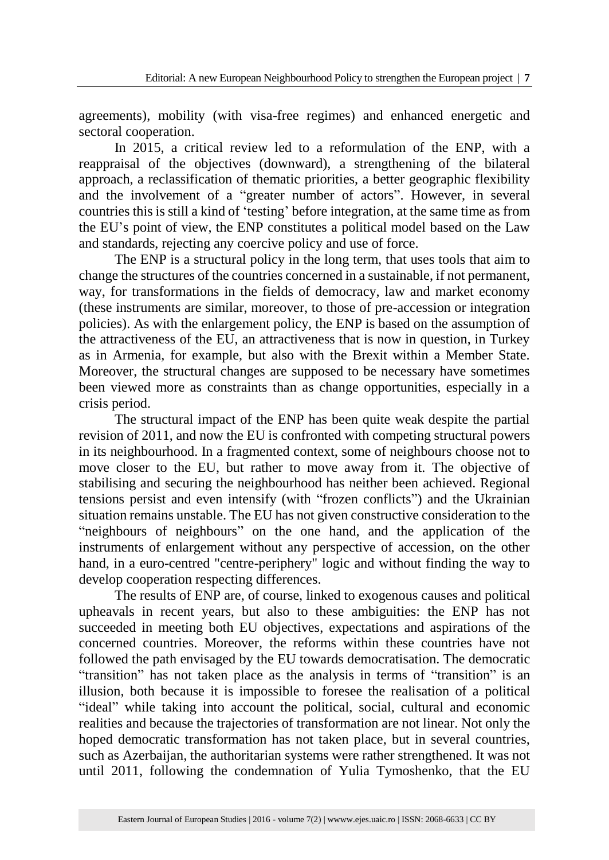agreements), mobility (with visa-free regimes) and enhanced energetic and sectoral cooperation.

In 2015, a critical review led to a reformulation of the ENP, with a reappraisal of the objectives (downward), a strengthening of the bilateral approach, a reclassification of thematic priorities, a better geographic flexibility and the involvement of a "greater number of actors". However, in several countries this is still a kind of 'testing' before integration, at the same time as from the EU's point of view, the ENP constitutes a political model based on the Law and standards, rejecting any coercive policy and use of force.

The ENP is a structural policy in the long term, that uses tools that aim to change the structures of the countries concerned in a sustainable, if not permanent, way, for transformations in the fields of democracy, law and market economy (these instruments are similar, moreover, to those of pre-accession or integration policies). As with the enlargement policy, the ENP is based on the assumption of the attractiveness of the EU, an attractiveness that is now in question, in Turkey as in Armenia, for example, but also with the Brexit within a Member State. Moreover, the structural changes are supposed to be necessary have sometimes been viewed more as constraints than as change opportunities, especially in a crisis period.

The structural impact of the ENP has been quite weak despite the partial revision of 2011, and now the EU is confronted with competing structural powers in its neighbourhood. In a fragmented context, some of neighbours choose not to move closer to the EU, but rather to move away from it. The objective of stabilising and securing the neighbourhood has neither been achieved. Regional tensions persist and even intensify (with "frozen conflicts") and the Ukrainian situation remains unstable. The EU has not given constructive consideration to the "neighbours of neighbours" on the one hand, and the application of the instruments of enlargement without any perspective of accession, on the other hand, in a euro-centred "centre-periphery" logic and without finding the way to develop cooperation respecting differences.

The results of ENP are, of course, linked to exogenous causes and political upheavals in recent years, but also to these ambiguities: the ENP has not succeeded in meeting both EU objectives, expectations and aspirations of the concerned countries. Moreover, the reforms within these countries have not followed the path envisaged by the EU towards democratisation. The democratic "transition" has not taken place as the analysis in terms of "transition" is an illusion, both because it is impossible to foresee the realisation of a political "ideal" while taking into account the political, social, cultural and economic realities and because the trajectories of transformation are not linear. Not only the hoped democratic transformation has not taken place, but in several countries, such as Azerbaijan, the authoritarian systems were rather strengthened. It was not until 2011, following the condemnation of Yulia Tymoshenko, that the EU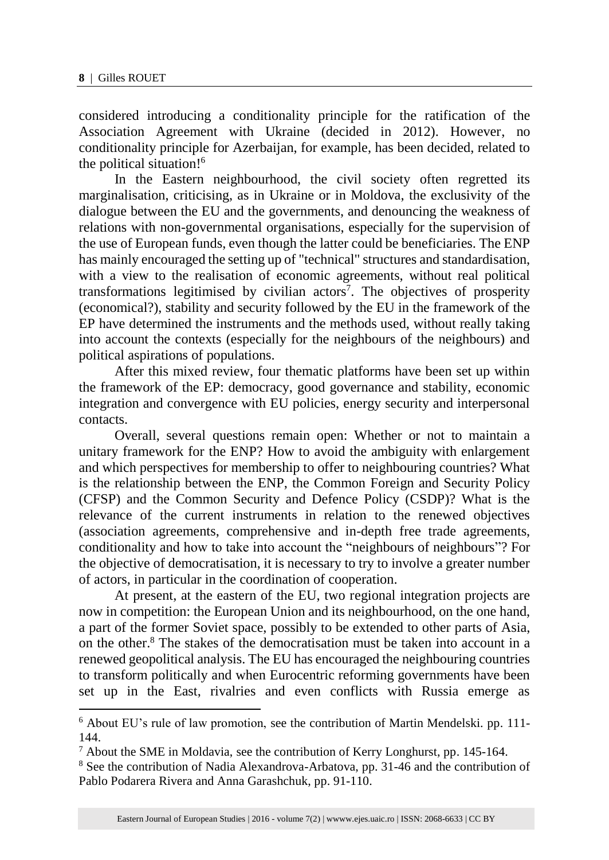l

considered introducing a conditionality principle for the ratification of the Association Agreement with Ukraine (decided in 2012). However, no conditionality principle for Azerbaijan, for example, has been decided, related to the political situation!<sup>6</sup>

In the Eastern neighbourhood, the civil society often regretted its marginalisation, criticising, as in Ukraine or in Moldova, the exclusivity of the dialogue between the EU and the governments, and denouncing the weakness of relations with non-governmental organisations, especially for the supervision of the use of European funds, even though the latter could be beneficiaries. The ENP has mainly encouraged the setting up of "technical" structures and standardisation, with a view to the realisation of economic agreements, without real political transformations legitimised by civilian actors<sup>7</sup>. The objectives of prosperity (economical?), stability and security followed by the EU in the framework of the EP have determined the instruments and the methods used, without really taking into account the contexts (especially for the neighbours of the neighbours) and political aspirations of populations.

After this mixed review, four thematic platforms have been set up within the framework of the EP: democracy, good governance and stability, economic integration and convergence with EU policies, energy security and interpersonal contacts.

Overall, several questions remain open: Whether or not to maintain a unitary framework for the ENP? How to avoid the ambiguity with enlargement and which perspectives for membership to offer to neighbouring countries? What is the relationship between the ENP, the Common Foreign and Security Policy (CFSP) and the Common Security and Defence Policy (CSDP)? What is the relevance of the current instruments in relation to the renewed objectives (association agreements, comprehensive and in-depth free trade agreements, conditionality and how to take into account the "neighbours of neighbours"? For the objective of democratisation, it is necessary to try to involve a greater number of actors, in particular in the coordination of cooperation.

At present, at the eastern of the EU, two regional integration projects are now in competition: the European Union and its neighbourhood, on the one hand, a part of the former Soviet space, possibly to be extended to other parts of Asia, on the other.<sup>8</sup> The stakes of the democratisation must be taken into account in a renewed geopolitical analysis. The EU has encouraged the neighbouring countries to transform politically and when Eurocentric reforming governments have been set up in the East, rivalries and even conflicts with Russia emerge as

<sup>6</sup> About EU's rule of law promotion, see the contribution of Martin Mendelski. pp. 111- 144.

<sup>7</sup> About the SME in Moldavia, see the contribution of Kerry Longhurst, pp. 145-164.

<sup>&</sup>lt;sup>8</sup> See the contribution of Nadia Alexandrova-Arbatova, pp. 31-46 and the contribution of Pablo Podarera Rivera and Anna Garashchuk, pp. 91-110.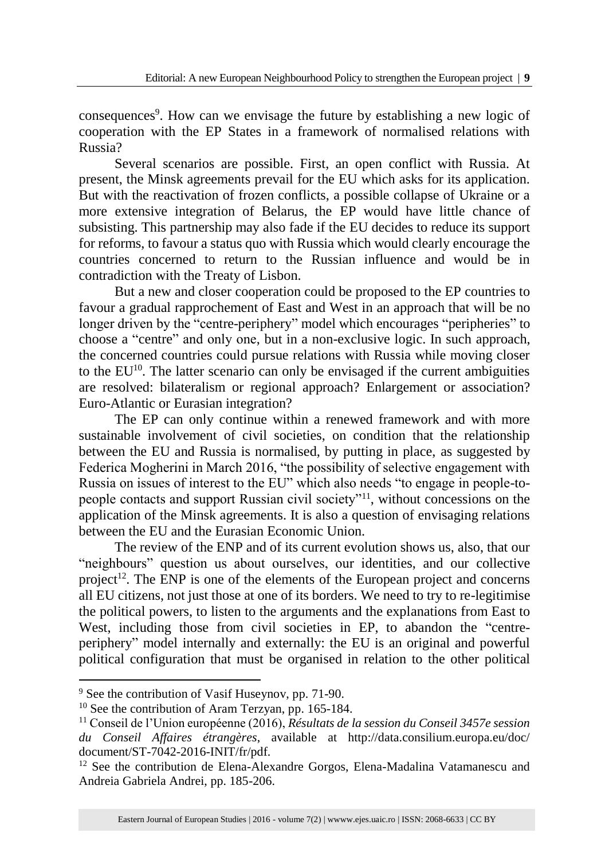consequences<sup>9</sup>. How can we envisage the future by establishing a new logic of cooperation with the EP States in a framework of normalised relations with Russia?

Several scenarios are possible. First, an open conflict with Russia. At present, the Minsk agreements prevail for the EU which asks for its application. But with the reactivation of frozen conflicts, a possible collapse of Ukraine or a more extensive integration of Belarus, the EP would have little chance of subsisting. This partnership may also fade if the EU decides to reduce its support for reforms, to favour a status quo with Russia which would clearly encourage the countries concerned to return to the Russian influence and would be in contradiction with the Treaty of Lisbon.

But a new and closer cooperation could be proposed to the EP countries to favour a gradual rapprochement of East and West in an approach that will be no longer driven by the "centre-periphery" model which encourages "peripheries" to choose a "centre" and only one, but in a non-exclusive logic. In such approach, the concerned countries could pursue relations with Russia while moving closer to the EU<sup>10</sup>. The latter scenario can only be envisaged if the current ambiguities are resolved: bilateralism or regional approach? Enlargement or association? Euro-Atlantic or Eurasian integration?

The EP can only continue within a renewed framework and with more sustainable involvement of civil societies, on condition that the relationship between the EU and Russia is normalised, by putting in place, as suggested by Federica Mogherini in March 2016, "the possibility of selective engagement with Russia on issues of interest to the EU" which also needs "to engage in people-topeople contacts and support Russian civil society"<sup>11</sup>, without concessions on the application of the Minsk agreements. It is also a question of envisaging relations between the EU and the Eurasian Economic Union.

The review of the ENP and of its current evolution shows us, also, that our "neighbours" question us about ourselves, our identities, and our collective project<sup>12</sup>. The ENP is one of the elements of the European project and concerns all EU citizens, not just those at one of its borders. We need to try to re-legitimise the political powers, to listen to the arguments and the explanations from East to West, including those from civil societies in EP, to abandon the "centreperiphery" model internally and externally: the EU is an original and powerful political configuration that must be organised in relation to the other political

 $\overline{a}$ 

<sup>9</sup> See the contribution of Vasif Huseynov, pp. 71-90.

<sup>&</sup>lt;sup>10</sup> See the contribution of Aram Terzyan, pp. 165-184.

<sup>11</sup> Conseil de l'Union européenne (2016), *Résultats de la session du Conseil 3457e session du Conseil Affaires étrangères*, available at http://data.consilium.europa.eu/doc/ document/ST-7042-2016-INIT/fr/pdf.

 $12$  See the contribution de Elena-Alexandre Gorgos, Elena-Madalina Vatamanescu and Andreia Gabriela Andrei, pp. 185-206.